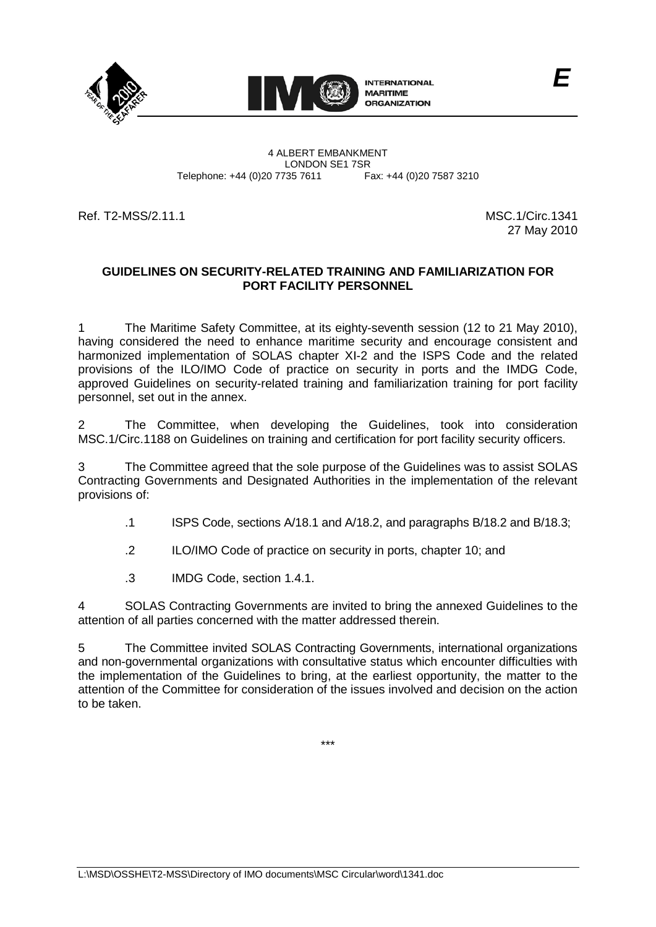



4 ALBERT EMBANKMENT Telephone: +44 (0)20 7735 7611

LONDON SE1 7SR<br>735 7611 Fax: +44 (0)20 7587 3210

Ref. T2-MSS/2.11.1 MSC.1/Circ.1341

27 May 2010

# **GUIDELINES ON SECURITY-RELATED TRAINING AND FAMILIARIZATION FOR PORT FACILITY PERSONNEL**

1 The Maritime Safety Committee, at its eighty-seventh session (12 to 21 May 2010), having considered the need to enhance maritime security and encourage consistent and harmonized implementation of SOLAS chapter XI-2 and the ISPS Code and the related provisions of the ILO/IMO Code of practice on security in ports and the IMDG Code, approved Guidelines on security-related training and familiarization training for port facility personnel, set out in the annex.

2 The Committee, when developing the Guidelines, took into consideration MSC.1/Circ.1188 on Guidelines on training and certification for port facility security officers.

The Committee agreed that the sole purpose of the Guidelines was to assist SOLAS Contracting Governments and Designated Authorities in the implementation of the relevant provisions of:

.1 ISPS Code, sections A/18.1 and A/18.2, and paragraphs B/18.2 and B/18.3;

.2 ILO/IMO Code of practice on security in ports, chapter 10; and

.3 IMDG Code, section 1.4.1.

4 SOLAS Contracting Governments are invited to bring the annexed Guidelines to the attention of all parties concerned with the matter addressed therein.

5 The Committee invited SOLAS Contracting Governments, international organizations and non-governmental organizations with consultative status which encounter difficulties with the implementation of the Guidelines to bring, at the earliest opportunity, the matter to the attention of the Committee for consideration of the issues involved and decision on the action to be taken.

\*\*\*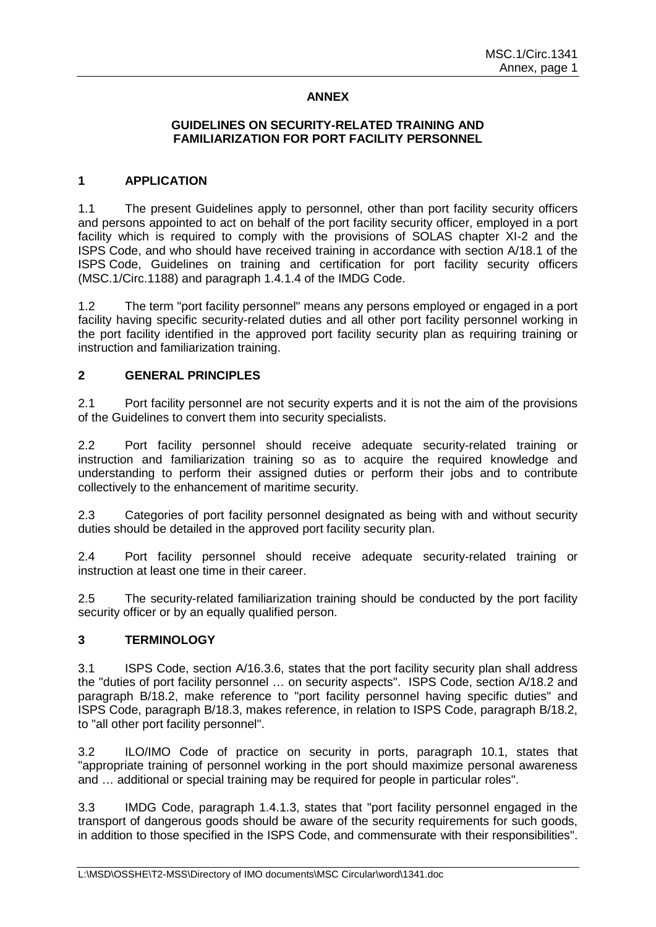# **ANNEX**

#### **GUIDELINES ON SECURITY-RELATED TRAINING AND FAMILIARIZATION FOR PORT FACILITY PERSONNEL**

## **1 APPLICATION**

1.1 The present Guidelines apply to personnel, other than port facility security officers and persons appointed to act on behalf of the port facility security officer, employed in a port facility which is required to comply with the provisions of SOLAS chapter XI-2 and the ISPS Code, and who should have received training in accordance with section A/18.1 of the ISPS Code, Guidelines on training and certification for port facility security officers (MSC.1/Circ.1188) and paragraph 1.4.1.4 of the IMDG Code.

1.2 The term "port facility personnel" means any persons employed or engaged in a port facility having specific security-related duties and all other port facility personnel working in the port facility identified in the approved port facility security plan as requiring training or instruction and familiarization training.

## **2 GENERAL PRINCIPLES**

2.1 Port facility personnel are not security experts and it is not the aim of the provisions of the Guidelines to convert them into security specialists.

2.2 Port facility personnel should receive adequate security-related training or instruction and familiarization training so as to acquire the required knowledge and understanding to perform their assigned duties or perform their jobs and to contribute collectively to the enhancement of maritime security.

2.3 Categories of port facility personnel designated as being with and without security duties should be detailed in the approved port facility security plan.

2.4 Port facility personnel should receive adequate security-related training or instruction at least one time in their career.

2.5 The security-related familiarization training should be conducted by the port facility security officer or by an equally qualified person.

## **3 TERMINOLOGY**

3.1 ISPS Code, section A/16.3.6, states that the port facility security plan shall address the "duties of port facility personnel … on security aspects". ISPS Code, section A/18.2 and paragraph B/18.2, make reference to "port facility personnel having specific duties" and ISPS Code, paragraph B/18.3, makes reference, in relation to ISPS Code, paragraph B/18.2, to "all other port facility personnel".

3.2 ILO/IMO Code of practice on security in ports, paragraph 10.1, states that "appropriate training of personnel working in the port should maximize personal awareness and … additional or special training may be required for people in particular roles".

3.3 IMDG Code, paragraph 1.4.1.3, states that "port facility personnel engaged in the transport of dangerous goods should be aware of the security requirements for such goods, in addition to those specified in the ISPS Code, and commensurate with their responsibilities".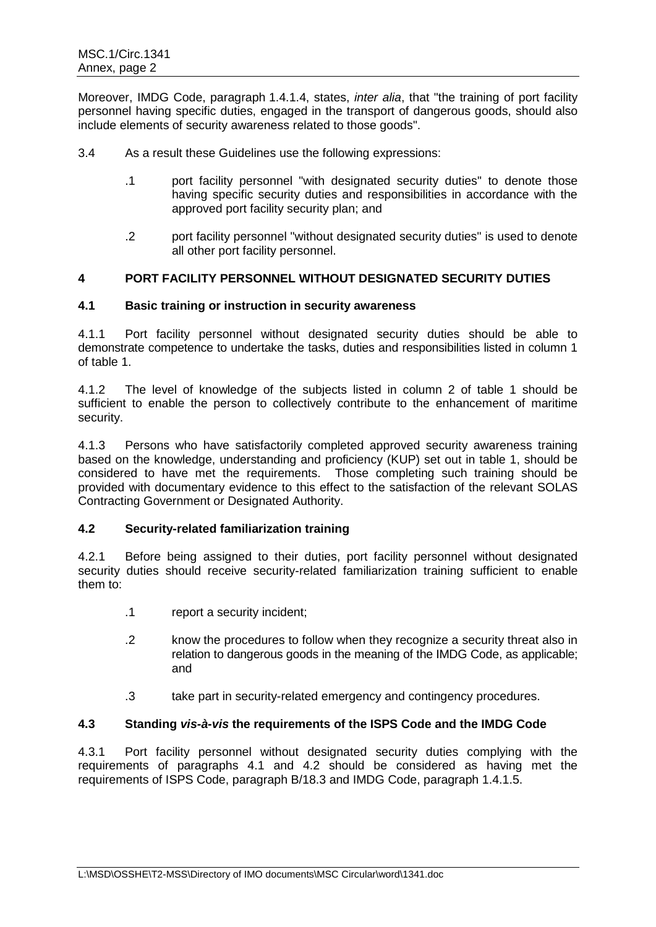Moreover, IMDG Code, paragraph 1.4.1.4, states, *inter alia*, that "the training of port facility personnel having specific duties, engaged in the transport of dangerous goods, should also include elements of security awareness related to those goods".

- 3.4 As a result these Guidelines use the following expressions:
	- .1 port facility personnel "with designated security duties" to denote those having specific security duties and responsibilities in accordance with the approved port facility security plan; and
	- .2 port facility personnel "without designated security duties" is used to denote all other port facility personnel.

## **4 PORT FACILITY PERSONNEL WITHOUT DESIGNATED SECURITY DUTIES**

## **4.1 Basic training or instruction in security awareness**

4.1.1 Port facility personnel without designated security duties should be able to demonstrate competence to undertake the tasks, duties and responsibilities listed in column 1 of table 1.

4.1.2 The level of knowledge of the subjects listed in column 2 of table 1 should be sufficient to enable the person to collectively contribute to the enhancement of maritime security.

4.1.3 Persons who have satisfactorily completed approved security awareness training based on the knowledge, understanding and proficiency (KUP) set out in table 1, should be considered to have met the requirements. Those completing such training should be provided with documentary evidence to this effect to the satisfaction of the relevant SOLAS Contracting Government or Designated Authority.

## **4.2 Security-related familiarization training**

4.2.1 Before being assigned to their duties, port facility personnel without designated security duties should receive security-related familiarization training sufficient to enable them to:

- .1 report a security incident;
- .2 know the procedures to follow when they recognize a security threat also in relation to dangerous goods in the meaning of the IMDG Code, as applicable; and
- .3 take part in security-related emergency and contingency procedures.

#### **4.3 Standing** *vis-à-vis* **the requirements of the ISPS Code and the IMDG Code**

4.3.1 Port facility personnel without designated security duties complying with the requirements of paragraphs 4.1 and 4.2 should be considered as having met the requirements of ISPS Code, paragraph B/18.3 and IMDG Code, paragraph 1.4.1.5.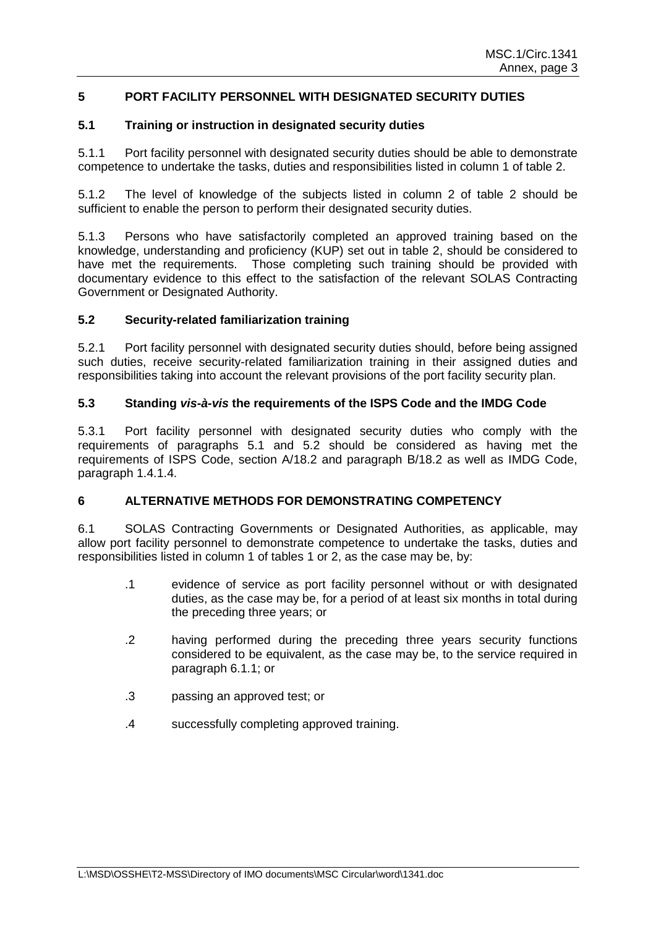# **5 PORT FACILITY PERSONNEL WITH DESIGNATED SECURITY DUTIES**

## **5.1 Training or instruction in designated security duties**

5.1.1 Port facility personnel with designated security duties should be able to demonstrate competence to undertake the tasks, duties and responsibilities listed in column 1 of table 2.

5.1.2 The level of knowledge of the subjects listed in column 2 of table 2 should be sufficient to enable the person to perform their designated security duties.

5.1.3 Persons who have satisfactorily completed an approved training based on the knowledge, understanding and proficiency (KUP) set out in table 2, should be considered to have met the requirements. Those completing such training should be provided with documentary evidence to this effect to the satisfaction of the relevant SOLAS Contracting Government or Designated Authority.

## **5.2 Security-related familiarization training**

5.2.1 Port facility personnel with designated security duties should, before being assigned such duties, receive security-related familiarization training in their assigned duties and responsibilities taking into account the relevant provisions of the port facility security plan.

## **5.3 Standing** *vis-à-vis* **the requirements of the ISPS Code and the IMDG Code**

5.3.1 Port facility personnel with designated security duties who comply with the requirements of paragraphs 5.1 and 5.2 should be considered as having met the requirements of ISPS Code, section A/18.2 and paragraph B/18.2 as well as IMDG Code, paragraph 1.4.1.4.

# **6 ALTERNATIVE METHODS FOR DEMONSTRATING COMPETENCY**

6.1 SOLAS Contracting Governments or Designated Authorities, as applicable, may allow port facility personnel to demonstrate competence to undertake the tasks, duties and responsibilities listed in column 1 of tables 1 or 2, as the case may be, by:

- .1 evidence of service as port facility personnel without or with designated duties, as the case may be, for a period of at least six months in total during the preceding three years; or
- .2 having performed during the preceding three years security functions considered to be equivalent, as the case may be, to the service required in paragraph 6.1.1; or
- .3 passing an approved test; or
- .4 successfully completing approved training.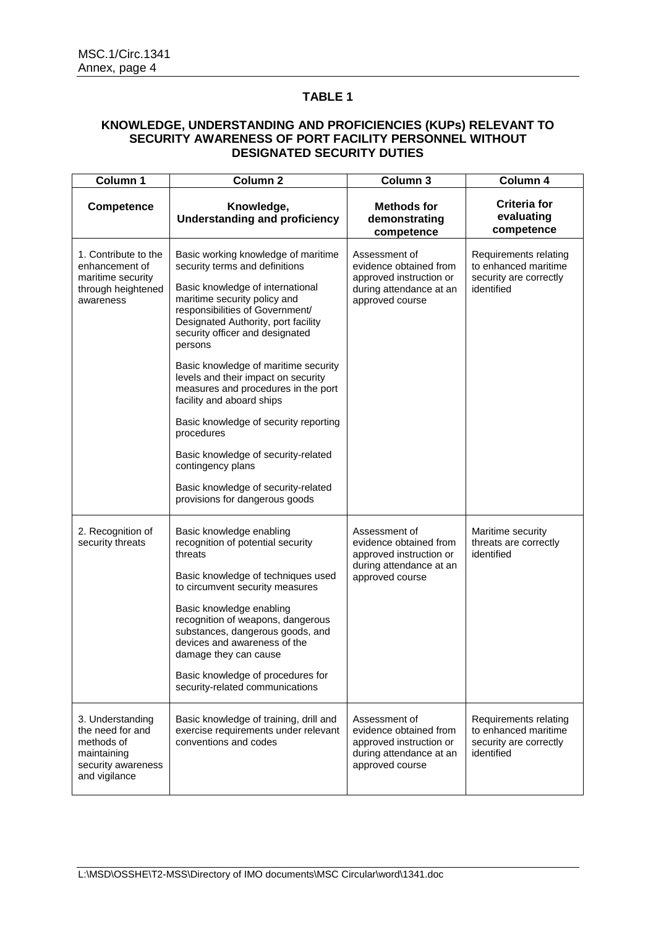# **TABLE 1**

## **KNOWLEDGE, UNDERSTANDING AND PROFICIENCIES (KUPs) RELEVANT TO SECURITY AWARENESS OF PORT FACILITY PERSONNEL WITHOUT DESIGNATED SECURITY DUTIES**

| Column 1                                                                                                 | <b>Column 2</b>                                                                                                                                                                                                                                                                                                                                                                                                                                                                                                                                                                                                  | Column 3                                                                                                         | Column 4                                                                              |
|----------------------------------------------------------------------------------------------------------|------------------------------------------------------------------------------------------------------------------------------------------------------------------------------------------------------------------------------------------------------------------------------------------------------------------------------------------------------------------------------------------------------------------------------------------------------------------------------------------------------------------------------------------------------------------------------------------------------------------|------------------------------------------------------------------------------------------------------------------|---------------------------------------------------------------------------------------|
| Competence                                                                                               | Knowledge,<br><b>Understanding and proficiency</b>                                                                                                                                                                                                                                                                                                                                                                                                                                                                                                                                                               | <b>Methods for</b><br>demonstrating<br>competence                                                                | <b>Criteria for</b><br>evaluating<br>competence                                       |
| 1. Contribute to the<br>enhancement of<br>maritime security<br>through heightened<br>awareness           | Basic working knowledge of maritime<br>security terms and definitions<br>Basic knowledge of international<br>maritime security policy and<br>responsibilities of Government/<br>Designated Authority, port facility<br>security officer and designated<br>persons<br>Basic knowledge of maritime security<br>levels and their impact on security<br>measures and procedures in the port<br>facility and aboard ships<br>Basic knowledge of security reporting<br>procedures<br>Basic knowledge of security-related<br>contingency plans<br>Basic knowledge of security-related<br>provisions for dangerous goods | Assessment of<br>evidence obtained from<br>approved instruction or<br>during attendance at an<br>approved course | Requirements relating<br>to enhanced maritime<br>security are correctly<br>identified |
| 2. Recognition of<br>security threats                                                                    | Basic knowledge enabling<br>recognition of potential security<br>threats<br>Basic knowledge of techniques used<br>to circumvent security measures<br>Basic knowledge enabling<br>recognition of weapons, dangerous<br>substances, dangerous goods, and<br>devices and awareness of the<br>damage they can cause<br>Basic knowledge of procedures for<br>security-related communications                                                                                                                                                                                                                          | Assessment of<br>evidence obtained from<br>approved instruction or<br>during attendance at an<br>approved course | Maritime security<br>threats are correctly<br>identified                              |
| 3. Understanding<br>the need for and<br>methods of<br>maintaining<br>security awareness<br>and vigilance | Basic knowledge of training, drill and<br>exercise requirements under relevant<br>conventions and codes                                                                                                                                                                                                                                                                                                                                                                                                                                                                                                          | Assessment of<br>evidence obtained from<br>approved instruction or<br>during attendance at an<br>approved course | Requirements relating<br>to enhanced maritime<br>security are correctly<br>identified |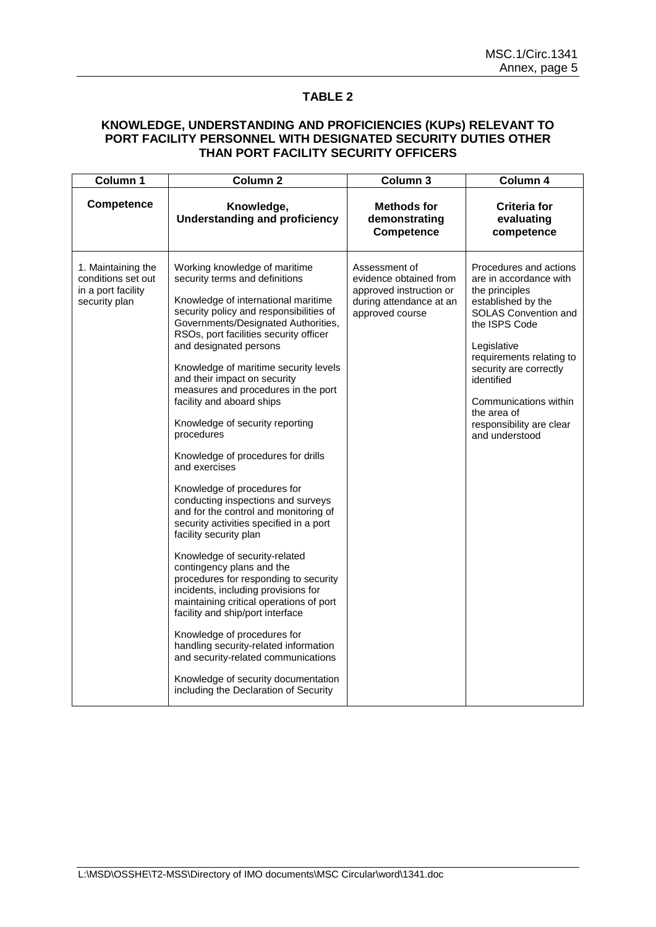# **TABLE 2**

## **KNOWLEDGE, UNDERSTANDING AND PROFICIENCIES (KUPs) RELEVANT TO PORT FACILITY PERSONNEL WITH DESIGNATED SECURITY DUTIES OTHER THAN PORT FACILITY SECURITY OFFICERS**

| Column 1                                                                        | Column <sub>2</sub>                                                                                                                                                                                                                                                                                                                                                                                                                                                                                                                                                                                                                                                                                                                                                                                                                                                                                                                                                                                                                                                                                                              | Column 3                                                                                                         | Column 4                                                                                                                                                                                                                                                                                                          |
|---------------------------------------------------------------------------------|----------------------------------------------------------------------------------------------------------------------------------------------------------------------------------------------------------------------------------------------------------------------------------------------------------------------------------------------------------------------------------------------------------------------------------------------------------------------------------------------------------------------------------------------------------------------------------------------------------------------------------------------------------------------------------------------------------------------------------------------------------------------------------------------------------------------------------------------------------------------------------------------------------------------------------------------------------------------------------------------------------------------------------------------------------------------------------------------------------------------------------|------------------------------------------------------------------------------------------------------------------|-------------------------------------------------------------------------------------------------------------------------------------------------------------------------------------------------------------------------------------------------------------------------------------------------------------------|
| <b>Competence</b>                                                               | Knowledge,<br><b>Understanding and proficiency</b>                                                                                                                                                                                                                                                                                                                                                                                                                                                                                                                                                                                                                                                                                                                                                                                                                                                                                                                                                                                                                                                                               | Methods for<br>demonstrating<br>Competence                                                                       | Criteria for<br>evaluating<br>competence                                                                                                                                                                                                                                                                          |
| 1. Maintaining the<br>conditions set out<br>in a port facility<br>security plan | Working knowledge of maritime<br>security terms and definitions<br>Knowledge of international maritime<br>security policy and responsibilities of<br>Governments/Designated Authorities,<br>RSOs, port facilities security officer<br>and designated persons<br>Knowledge of maritime security levels<br>and their impact on security<br>measures and procedures in the port<br>facility and aboard ships<br>Knowledge of security reporting<br>procedures<br>Knowledge of procedures for drills<br>and exercises<br>Knowledge of procedures for<br>conducting inspections and surveys<br>and for the control and monitoring of<br>security activities specified in a port<br>facility security plan<br>Knowledge of security-related<br>contingency plans and the<br>procedures for responding to security<br>incidents, including provisions for<br>maintaining critical operations of port<br>facility and ship/port interface<br>Knowledge of procedures for<br>handling security-related information<br>and security-related communications<br>Knowledge of security documentation<br>including the Declaration of Security | Assessment of<br>evidence obtained from<br>approved instruction or<br>during attendance at an<br>approved course | Procedures and actions<br>are in accordance with<br>the principles<br>established by the<br><b>SOLAS Convention and</b><br>the ISPS Code<br>Legislative<br>requirements relating to<br>security are correctly<br>identified<br>Communications within<br>the area of<br>responsibility are clear<br>and understood |